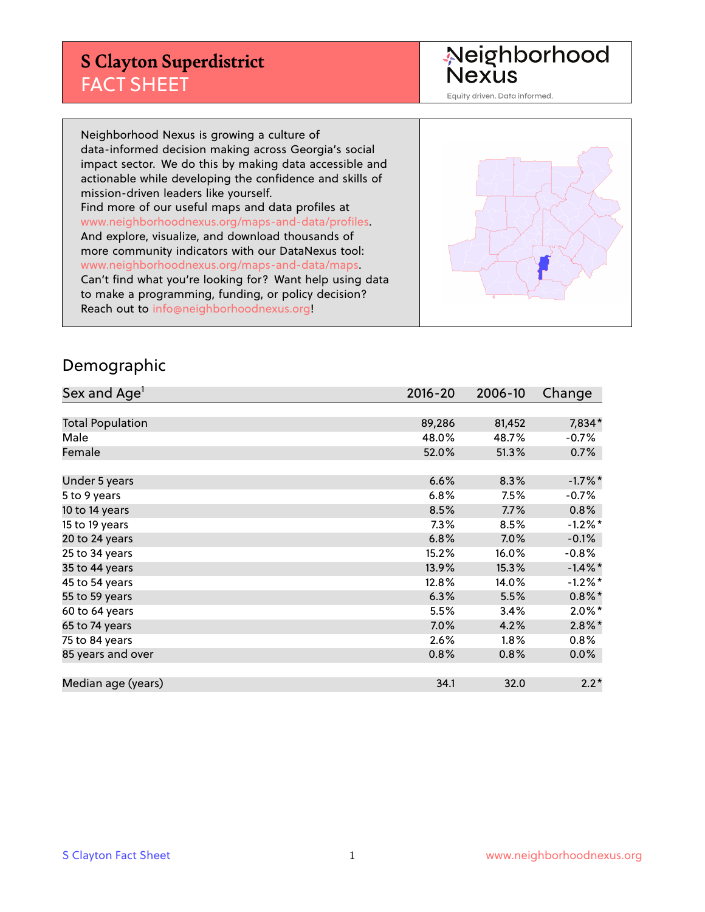# **S Clayton Superdistrict** FACT SHEET

Neighborhood<br>Nexus

Equity driven. Data informed.

Neighborhood Nexus is growing a culture of data-informed decision making across Georgia's social impact sector. We do this by making data accessible and actionable while developing the confidence and skills of mission-driven leaders like yourself. Find more of our useful maps and data profiles at www.neighborhoodnexus.org/maps-and-data/profiles. And explore, visualize, and download thousands of more community indicators with our DataNexus tool: www.neighborhoodnexus.org/maps-and-data/maps. Can't find what you're looking for? Want help using data to make a programming, funding, or policy decision? Reach out to [info@neighborhoodnexus.org!](mailto:info@neighborhoodnexus.org)



#### Demographic

| Sex and Age <sup>1</sup> | $2016 - 20$ | 2006-10 | Change     |
|--------------------------|-------------|---------|------------|
|                          |             |         |            |
| <b>Total Population</b>  | 89,286      | 81,452  | 7,834*     |
| Male                     | 48.0%       | 48.7%   | $-0.7%$    |
| Female                   | 52.0%       | 51.3%   | 0.7%       |
|                          |             |         |            |
| Under 5 years            | 6.6%        | 8.3%    | $-1.7%$ *  |
| 5 to 9 years             | 6.8%        | 7.5%    | $-0.7%$    |
| 10 to 14 years           | 8.5%        | 7.7%    | 0.8%       |
| 15 to 19 years           | 7.3%        | 8.5%    | $-1.2%$ *  |
| 20 to 24 years           | 6.8%        | 7.0%    | $-0.1%$    |
| 25 to 34 years           | 15.2%       | 16.0%   | $-0.8%$    |
| 35 to 44 years           | 13.9%       | 15.3%   | $-1.4\%$ * |
| 45 to 54 years           | 12.8%       | 14.0%   | $-1.2%$ *  |
| 55 to 59 years           | 6.3%        | 5.5%    | $0.8\%$ *  |
| 60 to 64 years           | 5.5%        | 3.4%    | $2.0\%$ *  |
| 65 to 74 years           | 7.0%        | 4.2%    | $2.8\%$ *  |
| 75 to 84 years           | 2.6%        | $1.8\%$ | 0.8%       |
| 85 years and over        | 0.8%        | 0.8%    | $0.0\%$    |
|                          |             |         |            |
| Median age (years)       | 34.1        | 32.0    | $2.2*$     |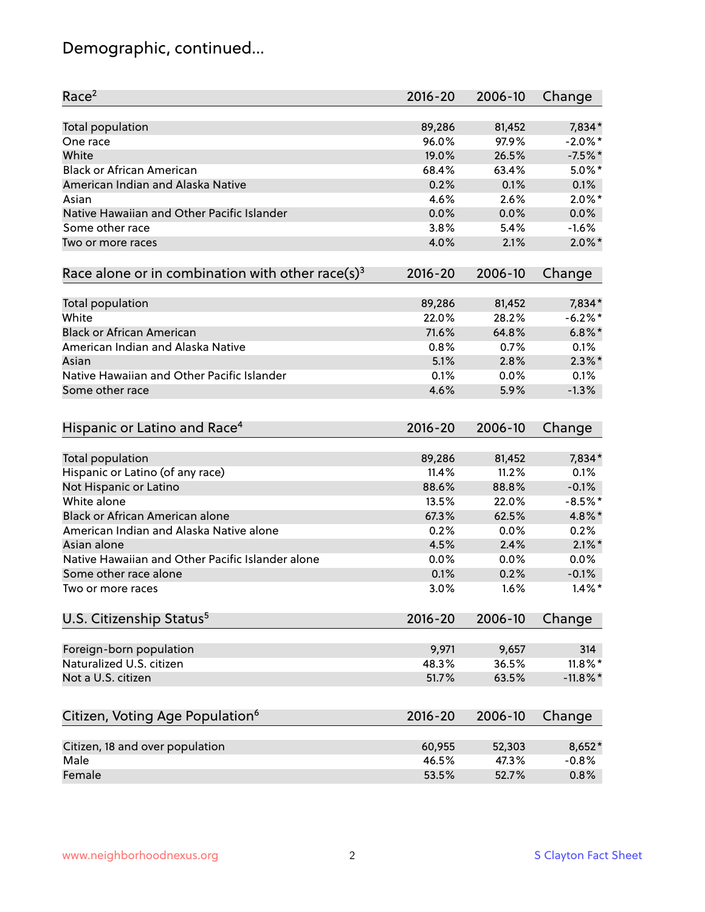# Demographic, continued...

| Race <sup>2</sup>                                            | $2016 - 20$ | 2006-10 | Change      |
|--------------------------------------------------------------|-------------|---------|-------------|
| Total population                                             | 89,286      | 81,452  | 7,834*      |
| One race                                                     | 96.0%       | 97.9%   | $-2.0\%$ *  |
| White                                                        | 19.0%       | 26.5%   | $-7.5%$ *   |
| <b>Black or African American</b>                             | 68.4%       | 63.4%   | $5.0\%$ *   |
| American Indian and Alaska Native                            | 0.2%        | 0.1%    | 0.1%        |
| Asian                                                        | 4.6%        | 2.6%    | $2.0\%$ *   |
| Native Hawaiian and Other Pacific Islander                   | 0.0%        | 0.0%    | 0.0%        |
| Some other race                                              | 3.8%        | 5.4%    | $-1.6%$     |
| Two or more races                                            | 4.0%        | 2.1%    | $2.0\%$ *   |
| Race alone or in combination with other race(s) <sup>3</sup> | $2016 - 20$ | 2006-10 | Change      |
| Total population                                             | 89,286      | 81,452  | 7,834*      |
| White                                                        | 22.0%       | 28.2%   | $-6.2%$ *   |
| <b>Black or African American</b>                             | 71.6%       | 64.8%   | $6.8\%$ *   |
| American Indian and Alaska Native                            | 0.8%        | 0.7%    | 0.1%        |
| Asian                                                        | 5.1%        | 2.8%    | $2.3\%$ *   |
| Native Hawaiian and Other Pacific Islander                   | 0.1%        | 0.0%    | 0.1%        |
| Some other race                                              | 4.6%        | 5.9%    | $-1.3%$     |
|                                                              |             |         |             |
| Hispanic or Latino and Race <sup>4</sup>                     | $2016 - 20$ | 2006-10 | Change      |
| Total population                                             | 89,286      | 81,452  | 7,834*      |
| Hispanic or Latino (of any race)                             | 11.4%       | 11.2%   | 0.1%        |
| Not Hispanic or Latino                                       | 88.6%       | 88.8%   | $-0.1%$     |
| White alone                                                  | 13.5%       | 22.0%   | $-8.5%$ *   |
| Black or African American alone                              | 67.3%       | 62.5%   | 4.8%*       |
| American Indian and Alaska Native alone                      | 0.2%        | 0.0%    | 0.2%        |
| Asian alone                                                  | 4.5%        | 2.4%    | $2.1\%$ *   |
| Native Hawaiian and Other Pacific Islander alone             | 0.0%        | 0.0%    | 0.0%        |
| Some other race alone                                        | 0.1%        | 0.2%    | $-0.1%$     |
| Two or more races                                            | 3.0%        | 1.6%    | $1.4\%$ *   |
| U.S. Citizenship Status <sup>5</sup>                         | 2016-20     | 2006-10 | Change      |
|                                                              |             |         |             |
| Foreign-born population                                      | 9,971       | 9,657   | 314         |
| Naturalized U.S. citizen                                     | 48.3%       | 36.5%   | $11.8\%$ *  |
| Not a U.S. citizen                                           | 51.7%       | 63.5%   | $-11.8\%$ * |
| Citizen, Voting Age Population <sup>6</sup>                  | $2016 - 20$ | 2006-10 | Change      |
| Citizen, 18 and over population                              | 60,955      | 52,303  | 8,652*      |
| Male                                                         | 46.5%       | 47.3%   | $-0.8%$     |
| Female                                                       | 53.5%       | 52.7%   | 0.8%        |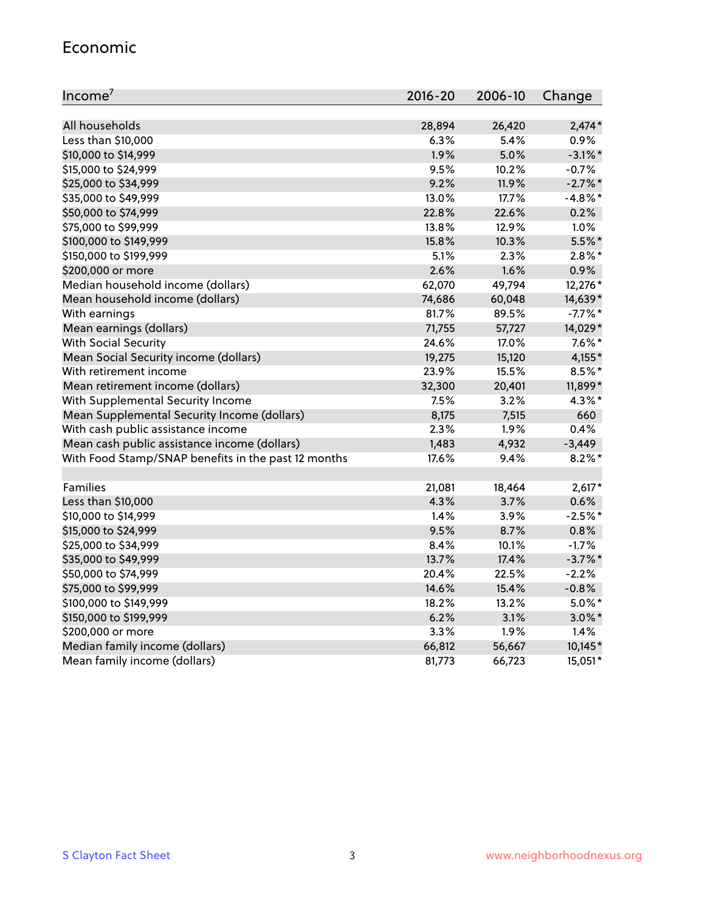#### Economic

| Income <sup>7</sup>                                 | $2016 - 20$ | 2006-10 | Change     |
|-----------------------------------------------------|-------------|---------|------------|
|                                                     |             |         |            |
| All households                                      | 28,894      | 26,420  | $2,474*$   |
| Less than \$10,000                                  | 6.3%        | 5.4%    | 0.9%       |
| \$10,000 to \$14,999                                | 1.9%        | 5.0%    | $-3.1\%$ * |
| \$15,000 to \$24,999                                | 9.5%        | 10.2%   | $-0.7%$    |
| \$25,000 to \$34,999                                | 9.2%        | 11.9%   | $-2.7%$ *  |
| \$35,000 to \$49,999                                | 13.0%       | 17.7%   | $-4.8\%$ * |
| \$50,000 to \$74,999                                | 22.8%       | 22.6%   | 0.2%       |
| \$75,000 to \$99,999                                | 13.8%       | 12.9%   | 1.0%       |
| \$100,000 to \$149,999                              | 15.8%       | 10.3%   | 5.5%*      |
| \$150,000 to \$199,999                              | 5.1%        | 2.3%    | $2.8\%$ *  |
| \$200,000 or more                                   | 2.6%        | 1.6%    | 0.9%       |
| Median household income (dollars)                   | 62,070      | 49,794  | 12,276 *   |
| Mean household income (dollars)                     | 74,686      | 60,048  | 14,639*    |
| With earnings                                       | 81.7%       | 89.5%   | $-7.7\%$ * |
| Mean earnings (dollars)                             | 71,755      | 57,727  | 14,029*    |
| <b>With Social Security</b>                         | 24.6%       | 17.0%   | $7.6\%$ *  |
| Mean Social Security income (dollars)               | 19,275      | 15,120  | 4,155*     |
| With retirement income                              | 23.9%       | 15.5%   | 8.5%*      |
| Mean retirement income (dollars)                    | 32,300      | 20,401  | 11,899*    |
| With Supplemental Security Income                   | 7.5%        | 3.2%    | $4.3\%$ *  |
| Mean Supplemental Security Income (dollars)         | 8,175       | 7,515   | 660        |
| With cash public assistance income                  | 2.3%        | 1.9%    | 0.4%       |
| Mean cash public assistance income (dollars)        | 1,483       | 4,932   | $-3,449$   |
| With Food Stamp/SNAP benefits in the past 12 months | 17.6%       | 9.4%    | $8.2\%$ *  |
|                                                     |             |         |            |
| Families                                            | 21,081      | 18,464  | $2,617*$   |
| Less than \$10,000                                  | 4.3%        | 3.7%    | 0.6%       |
| \$10,000 to \$14,999                                | 1.4%        | 3.9%    | $-2.5%$ *  |
| \$15,000 to \$24,999                                | 9.5%        | 8.7%    | 0.8%       |
| \$25,000 to \$34,999                                | 8.4%        | 10.1%   | $-1.7%$    |
| \$35,000 to \$49,999                                | 13.7%       | 17.4%   | $-3.7\%$ * |
| \$50,000 to \$74,999                                | 20.4%       | 22.5%   | $-2.2%$    |
| \$75,000 to \$99,999                                | 14.6%       | 15.4%   | $-0.8%$    |
| \$100,000 to \$149,999                              | 18.2%       | 13.2%   | $5.0\%$ *  |
| \$150,000 to \$199,999                              | 6.2%        | 3.1%    | $3.0\%$ *  |
| \$200,000 or more                                   | 3.3%        | 1.9%    | 1.4%       |
| Median family income (dollars)                      | 66,812      | 56,667  | 10,145*    |
| Mean family income (dollars)                        | 81,773      | 66,723  | 15,051*    |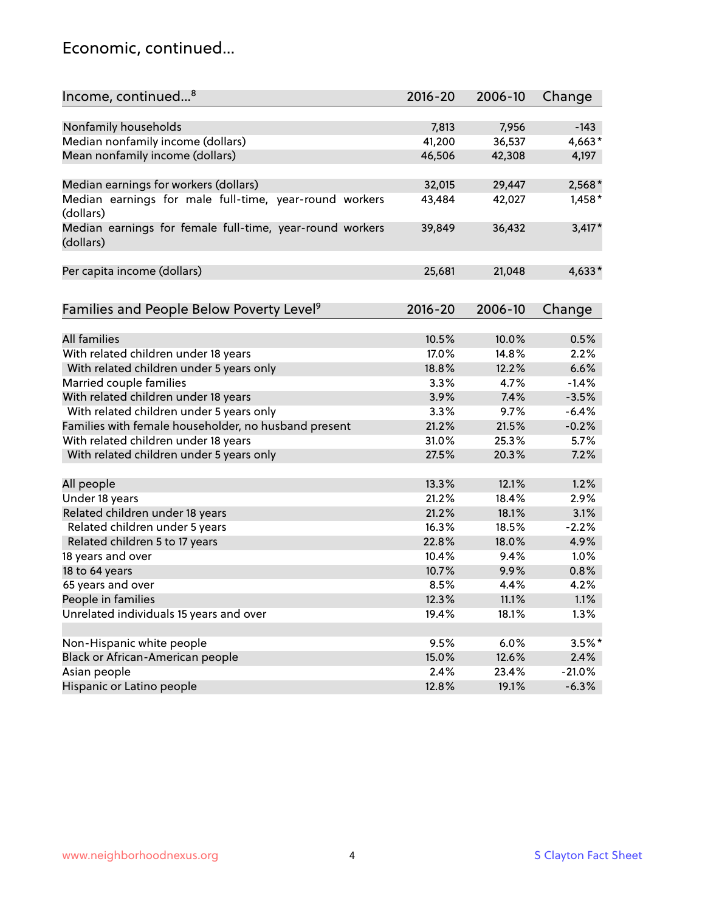#### Economic, continued...

| Income, continued <sup>8</sup>                           | $2016 - 20$ | 2006-10 | Change   |
|----------------------------------------------------------|-------------|---------|----------|
|                                                          |             |         |          |
| Nonfamily households                                     | 7,813       | 7,956   | $-143$   |
| Median nonfamily income (dollars)                        | 41,200      | 36,537  | 4,663*   |
| Mean nonfamily income (dollars)                          | 46,506      | 42,308  | 4,197    |
|                                                          |             |         |          |
| Median earnings for workers (dollars)                    | 32,015      | 29,447  | $2,568*$ |
| Median earnings for male full-time, year-round workers   | 43,484      | 42,027  | $1,458*$ |
| (dollars)                                                |             |         |          |
| Median earnings for female full-time, year-round workers | 39,849      | 36,432  | $3,417*$ |
| (dollars)                                                |             |         |          |
|                                                          |             |         |          |
| Per capita income (dollars)                              | 25,681      | 21,048  | $4,633*$ |
|                                                          |             |         |          |
| Families and People Below Poverty Level <sup>9</sup>     | $2016 - 20$ | 2006-10 | Change   |
|                                                          |             |         |          |
| <b>All families</b>                                      | 10.5%       | 10.0%   | 0.5%     |
| With related children under 18 years                     | 17.0%       | 14.8%   | 2.2%     |
| With related children under 5 years only                 | 18.8%       | 12.2%   | 6.6%     |
| Married couple families                                  | 3.3%        | 4.7%    | $-1.4%$  |
| With related children under 18 years                     | 3.9%        | 7.4%    | $-3.5%$  |
| With related children under 5 years only                 | 3.3%        | 9.7%    | $-6.4%$  |
| Families with female householder, no husband present     | 21.2%       | 21.5%   | $-0.2%$  |
| With related children under 18 years                     | 31.0%       | 25.3%   | 5.7%     |
| With related children under 5 years only                 | 27.5%       | 20.3%   | 7.2%     |
|                                                          |             |         |          |
| All people                                               | 13.3%       | 12.1%   | 1.2%     |
| Under 18 years                                           | 21.2%       | 18.4%   | 2.9%     |
| Related children under 18 years                          | 21.2%       | 18.1%   | 3.1%     |
| Related children under 5 years                           | 16.3%       | 18.5%   | $-2.2%$  |
| Related children 5 to 17 years                           | 22.8%       | 18.0%   | 4.9%     |
| 18 years and over                                        | 10.4%       | 9.4%    | 1.0%     |
| 18 to 64 years                                           | 10.7%       | 9.9%    | 0.8%     |
| 65 years and over                                        | 8.5%        | 4.4%    | 4.2%     |
| People in families                                       | 12.3%       | 11.1%   | 1.1%     |
| Unrelated individuals 15 years and over                  | 19.4%       | 18.1%   | 1.3%     |
|                                                          |             |         |          |
| Non-Hispanic white people                                | 9.5%        | 6.0%    | $3.5%$ * |
| Black or African-American people                         | 15.0%       | 12.6%   | 2.4%     |
| Asian people                                             | 2.4%        | 23.4%   | $-21.0%$ |
| Hispanic or Latino people                                | 12.8%       | 19.1%   | $-6.3%$  |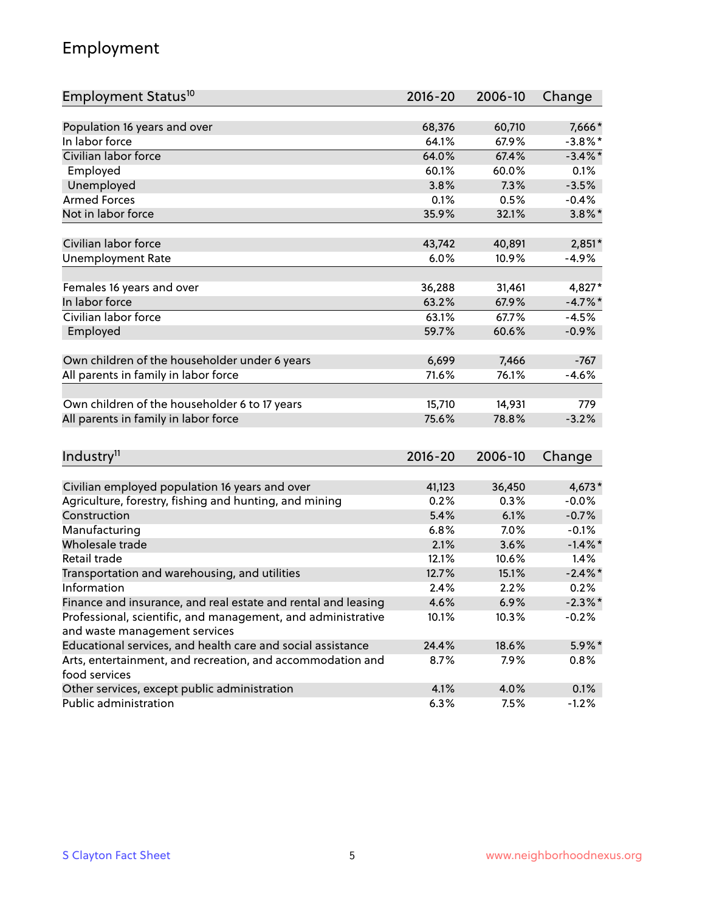## Employment

| Employment Status <sup>10</sup>                                             | $2016 - 20$ | 2006-10 | Change     |
|-----------------------------------------------------------------------------|-------------|---------|------------|
|                                                                             |             |         |            |
| Population 16 years and over                                                | 68,376      | 60,710  | 7,666*     |
| In labor force                                                              | 64.1%       | 67.9%   | $-3.8\%$ * |
| Civilian labor force                                                        | 64.0%       | 67.4%   | $-3.4\%$ * |
| Employed                                                                    | 60.1%       | 60.0%   | 0.1%       |
| Unemployed                                                                  | 3.8%        | 7.3%    | $-3.5%$    |
| <b>Armed Forces</b>                                                         | 0.1%        | 0.5%    | $-0.4%$    |
| Not in labor force                                                          | 35.9%       | 32.1%   | $3.8\%$ *  |
| Civilian labor force                                                        |             |         |            |
|                                                                             | 43,742      | 40,891  | $2,851*$   |
| <b>Unemployment Rate</b>                                                    | 6.0%        | 10.9%   | $-4.9%$    |
| Females 16 years and over                                                   | 36,288      | 31,461  | 4,827*     |
| In labor force                                                              | 63.2%       | 67.9%   | $-4.7%$ *  |
| Civilian labor force                                                        | 63.1%       | 67.7%   | $-4.5%$    |
| Employed                                                                    | 59.7%       | 60.6%   | $-0.9%$    |
|                                                                             |             |         |            |
| Own children of the householder under 6 years                               | 6,699       | 7,466   | $-767$     |
| All parents in family in labor force                                        | 71.6%       | 76.1%   | $-4.6%$    |
| Own children of the householder 6 to 17 years                               | 15,710      | 14,931  | 779        |
| All parents in family in labor force                                        | 75.6%       | 78.8%   | $-3.2%$    |
|                                                                             |             |         |            |
| Industry <sup>11</sup>                                                      | 2016-20     | 2006-10 | Change     |
|                                                                             |             |         |            |
| Civilian employed population 16 years and over                              | 41,123      | 36,450  | 4,673*     |
| Agriculture, forestry, fishing and hunting, and mining                      | 0.2%        | 0.3%    | $-0.0%$    |
| Construction                                                                | 5.4%        | 6.1%    | $-0.7%$    |
| Manufacturing                                                               | 6.8%        | 7.0%    | $-0.1%$    |
| Wholesale trade                                                             | 2.1%        | 3.6%    | $-1.4\%$ * |
| Retail trade                                                                | 12.1%       | 10.6%   | 1.4%       |
| Transportation and warehousing, and utilities                               | 12.7%       | 15.1%   | $-2.4\%$ * |
| Information                                                                 | 2.4%        | 2.2%    | 0.2%       |
| Finance and insurance, and real estate and rental and leasing               | 4.6%        | 6.9%    | $-2.3\%$ * |
| Professional, scientific, and management, and administrative                | 10.1%       | 10.3%   | $-0.2%$    |
| and waste management services                                               |             |         |            |
| Educational services, and health care and social assistance                 | 24.4%       | 18.6%   | $5.9\%$ *  |
| Arts, entertainment, and recreation, and accommodation and<br>food services | 8.7%        | 7.9%    | $0.8\%$    |
| Other services, except public administration                                | 4.1%        | 4.0%    | 0.1%       |
| Public administration                                                       | 6.3%        | 7.5%    | $-1.2%$    |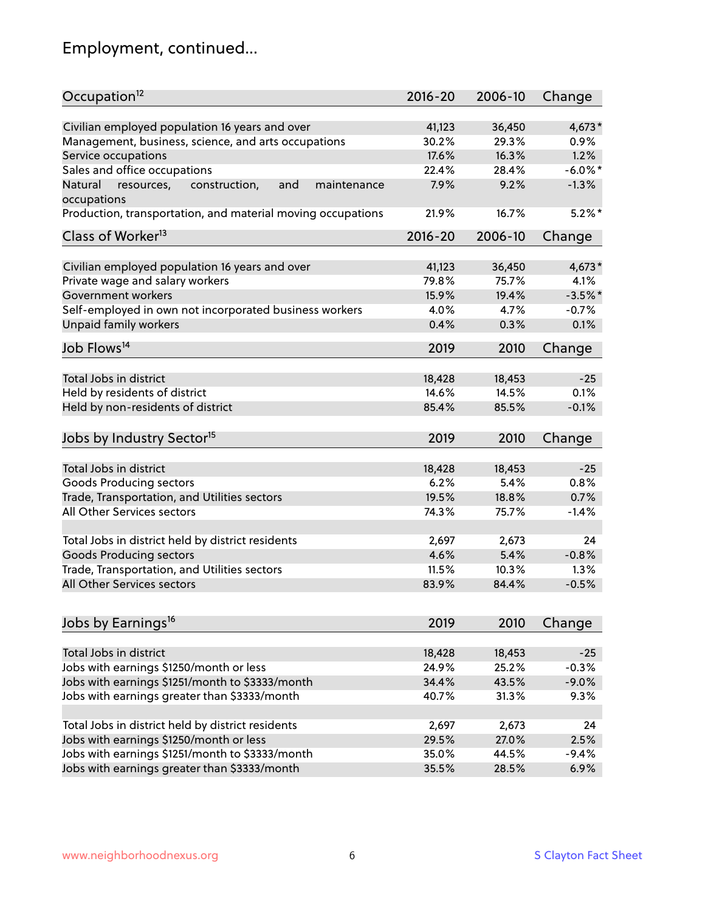# Employment, continued...

| Occupation <sup>12</sup>                                     | $2016 - 20$ | 2006-10 | Change     |
|--------------------------------------------------------------|-------------|---------|------------|
| Civilian employed population 16 years and over               | 41,123      | 36,450  | 4,673*     |
| Management, business, science, and arts occupations          | 30.2%       | 29.3%   | $0.9\%$    |
| Service occupations                                          | 17.6%       | 16.3%   | 1.2%       |
| Sales and office occupations                                 | 22.4%       | 28.4%   | $-6.0\%$ * |
| Natural<br>and<br>resources,<br>construction,<br>maintenance | 7.9%        | 9.2%    | $-1.3%$    |
| occupations                                                  |             |         |            |
| Production, transportation, and material moving occupations  | 21.9%       | 16.7%   | $5.2\%$ *  |
| Class of Worker <sup>13</sup>                                | $2016 - 20$ | 2006-10 | Change     |
|                                                              |             |         |            |
| Civilian employed population 16 years and over               | 41,123      | 36,450  | 4,673*     |
| Private wage and salary workers                              | 79.8%       | 75.7%   | 4.1%       |
| Government workers                                           | 15.9%       | 19.4%   | $-3.5%$ *  |
| Self-employed in own not incorporated business workers       | 4.0%        | 4.7%    | $-0.7%$    |
| Unpaid family workers                                        | 0.4%        | 0.3%    | 0.1%       |
| Job Flows <sup>14</sup>                                      | 2019        | 2010    | Change     |
|                                                              |             |         |            |
| Total Jobs in district                                       | 18,428      | 18,453  | $-25$      |
| Held by residents of district                                | 14.6%       | 14.5%   | 0.1%       |
| Held by non-residents of district                            | 85.4%       | 85.5%   | $-0.1%$    |
| Jobs by Industry Sector <sup>15</sup>                        | 2019        | 2010    | Change     |
|                                                              |             |         |            |
| Total Jobs in district                                       | 18,428      | 18,453  | $-25$      |
| Goods Producing sectors                                      | 6.2%        | 5.4%    | 0.8%       |
| Trade, Transportation, and Utilities sectors                 | 19.5%       | 18.8%   | 0.7%       |
| All Other Services sectors                                   | 74.3%       | 75.7%   | $-1.4%$    |
|                                                              |             |         |            |
| Total Jobs in district held by district residents            | 2,697       | 2,673   | 24         |
| <b>Goods Producing sectors</b>                               | 4.6%        | 5.4%    | $-0.8%$    |
| Trade, Transportation, and Utilities sectors                 | 11.5%       | 10.3%   | 1.3%       |
| All Other Services sectors                                   | 83.9%       | 84.4%   | $-0.5%$    |
| Jobs by Earnings <sup>16</sup>                               | 2019        | 2010    | Change     |
|                                                              |             |         |            |
| Total Jobs in district                                       | 18,428      | 18,453  | $-25$      |
| Jobs with earnings \$1250/month or less                      | 24.9%       | 25.2%   | $-0.3%$    |
| Jobs with earnings \$1251/month to \$3333/month              | 34.4%       | 43.5%   | $-9.0%$    |
| Jobs with earnings greater than \$3333/month                 | 40.7%       | 31.3%   | 9.3%       |
|                                                              |             |         |            |
| Total Jobs in district held by district residents            | 2,697       | 2,673   | 24         |
| Jobs with earnings \$1250/month or less                      | 29.5%       | 27.0%   | 2.5%       |
| Jobs with earnings \$1251/month to \$3333/month              | 35.0%       | 44.5%   | $-9.4%$    |
| Jobs with earnings greater than \$3333/month                 | 35.5%       | 28.5%   | 6.9%       |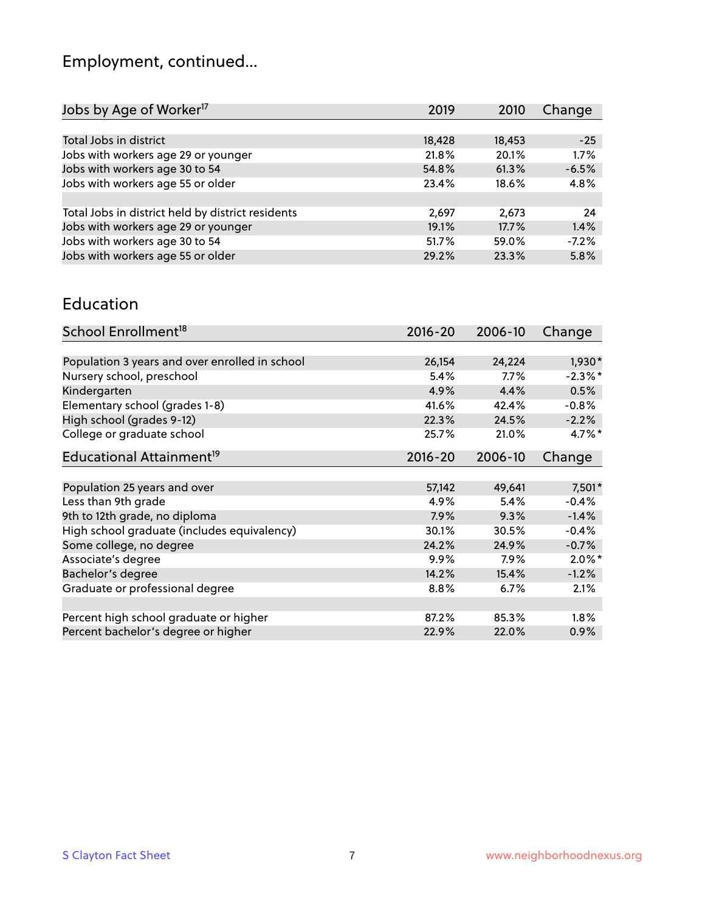# Employment, continued...

| Jobs by Age of Worker <sup>17</sup>               | 2019   | 2010   | Change  |
|---------------------------------------------------|--------|--------|---------|
|                                                   |        |        |         |
| Total Jobs in district                            | 18,428 | 18,453 | $-25$   |
| Jobs with workers age 29 or younger               | 21.8%  | 20.1%  | 1.7%    |
| Jobs with workers age 30 to 54                    | 54.8%  | 61.3%  | $-6.5%$ |
| Jobs with workers age 55 or older                 | 23.4%  | 18.6%  | 4.8%    |
|                                                   |        |        |         |
| Total Jobs in district held by district residents | 2,697  | 2,673  | 24      |
| Jobs with workers age 29 or younger               | 19.1%  | 17.7%  | 1.4%    |
| Jobs with workers age 30 to 54                    | 51.7%  | 59.0%  | $-7.2%$ |
| Jobs with workers age 55 or older                 | 29.2%  | 23.3%  | 5.8%    |
|                                                   |        |        |         |

#### Education

| School Enrollment <sup>18</sup>                | $2016 - 20$ | 2006-10 | Change     |
|------------------------------------------------|-------------|---------|------------|
|                                                |             |         |            |
| Population 3 years and over enrolled in school | 26,154      | 24,224  | $1,930*$   |
| Nursery school, preschool                      | 5.4%        | $7.7\%$ | $-2.3\%$ * |
| Kindergarten                                   | 4.9%        | 4.4%    | 0.5%       |
| Elementary school (grades 1-8)                 | 41.6%       | 42.4%   | $-0.8%$    |
| High school (grades 9-12)                      | 22.3%       | 24.5%   | $-2.2%$    |
| College or graduate school                     | 25.7%       | 21.0%   | $4.7\%$ *  |
| Educational Attainment <sup>19</sup>           | $2016 - 20$ | 2006-10 | Change     |
|                                                |             |         |            |
| Population 25 years and over                   | 57,142      | 49,641  | 7,501*     |
| Less than 9th grade                            | 4.9%        | 5.4%    | $-0.4%$    |
| 9th to 12th grade, no diploma                  | 7.9%        | 9.3%    | $-1.4%$    |
| High school graduate (includes equivalency)    | 30.1%       | 30.5%   | $-0.4%$    |
| Some college, no degree                        | 24.2%       | 24.9%   | $-0.7%$    |
| Associate's degree                             | 9.9%        | 7.9%    | $2.0\%$ *  |
| Bachelor's degree                              | 14.2%       | 15.4%   | $-1.2%$    |
| Graduate or professional degree                | 8.8%        | 6.7%    | 2.1%       |
|                                                |             |         |            |
| Percent high school graduate or higher         | 87.2%       | 85.3%   | $1.8\%$    |
| Percent bachelor's degree or higher            | 22.9%       | 22.0%   | $0.9\%$    |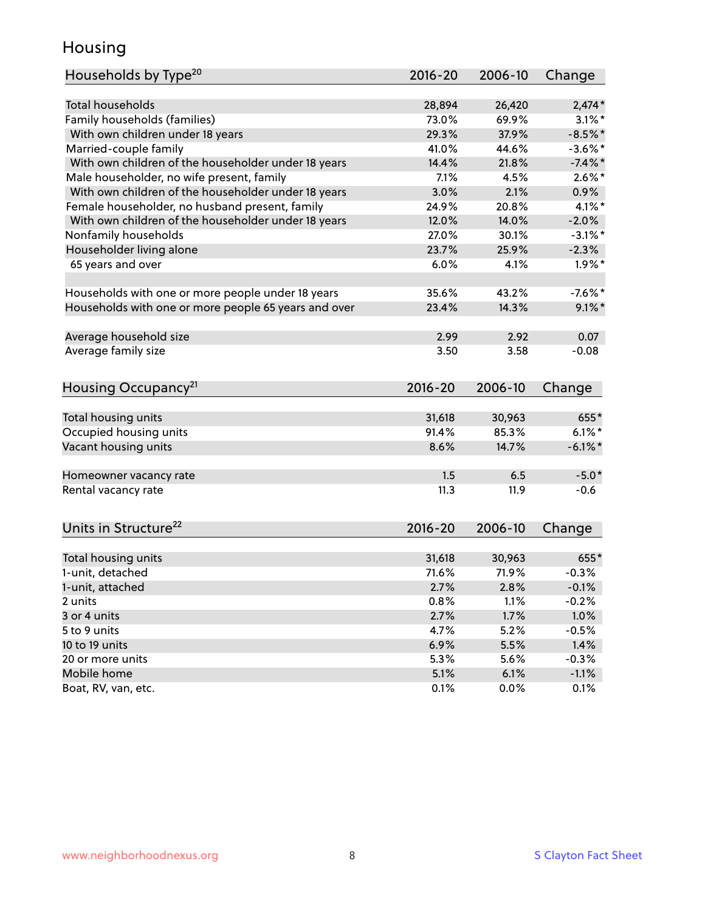## Housing

| Households by Type <sup>20</sup>                     | 2016-20     | 2006-10 | Change     |
|------------------------------------------------------|-------------|---------|------------|
|                                                      |             |         |            |
| <b>Total households</b>                              | 28,894      | 26,420  | $2,474*$   |
| Family households (families)                         | 73.0%       | 69.9%   | $3.1\%$ *  |
| With own children under 18 years                     | 29.3%       | 37.9%   | $-8.5%$ *  |
| Married-couple family                                | 41.0%       | 44.6%   | $-3.6\%$ * |
| With own children of the householder under 18 years  | 14.4%       | 21.8%   | $-7.4\%$ * |
| Male householder, no wife present, family            | 7.1%        | 4.5%    | $2.6\%$ *  |
| With own children of the householder under 18 years  | 3.0%        | 2.1%    | 0.9%       |
| Female householder, no husband present, family       | 24.9%       | 20.8%   | $4.1\%$ *  |
| With own children of the householder under 18 years  | 12.0%       | 14.0%   | $-2.0%$    |
| Nonfamily households                                 | 27.0%       | 30.1%   | $-3.1\%$ * |
| Householder living alone                             | 23.7%       | 25.9%   | $-2.3%$    |
| 65 years and over                                    | 6.0%        | 4.1%    | $1.9\%$ *  |
|                                                      |             |         |            |
| Households with one or more people under 18 years    | 35.6%       | 43.2%   | $-7.6\%$ * |
| Households with one or more people 65 years and over | 23.4%       | 14.3%   | $9.1\%$    |
|                                                      |             |         |            |
| Average household size                               | 2.99        | 2.92    | 0.07       |
| Average family size                                  | 3.50        | 3.58    | $-0.08$    |
| Housing Occupancy <sup>21</sup>                      | $2016 - 20$ | 2006-10 | Change     |
|                                                      |             |         |            |
| Total housing units                                  | 31,618      | 30,963  | 655*       |
| Occupied housing units                               | 91.4%       | 85.3%   | $6.1\%$ *  |
| Vacant housing units                                 | 8.6%        | 14.7%   | $-6.1\%$ * |
|                                                      |             |         |            |
| Homeowner vacancy rate                               | 1.5         | 6.5     | $-5.0*$    |
| Rental vacancy rate                                  | 11.3        | 11.9    | $-0.6$     |
|                                                      |             |         |            |
| Units in Structure <sup>22</sup>                     | $2016 - 20$ | 2006-10 | Change     |
| Total housing units                                  | 31,618      | 30,963  | 655*       |
| 1-unit, detached                                     | 71.6%       | 71.9%   | $-0.3%$    |
| 1-unit, attached                                     | 2.7%        | 2.8%    | $-0.1%$    |
| 2 units                                              | 0.8%        | 1.1%    | $-0.2%$    |
| 3 or 4 units                                         | 2.7%        | 1.7%    | 1.0%       |
| 5 to 9 units                                         | 4.7%        | 5.2%    | $-0.5%$    |
| 10 to 19 units                                       | 6.9%        | 5.5%    | 1.4%       |
| 20 or more units                                     | 5.3%        | 5.6%    | $-0.3%$    |
| Mobile home                                          | 5.1%        | 6.1%    | $-1.1%$    |
| Boat, RV, van, etc.                                  | 0.1%        | 0.0%    | 0.1%       |
|                                                      |             |         |            |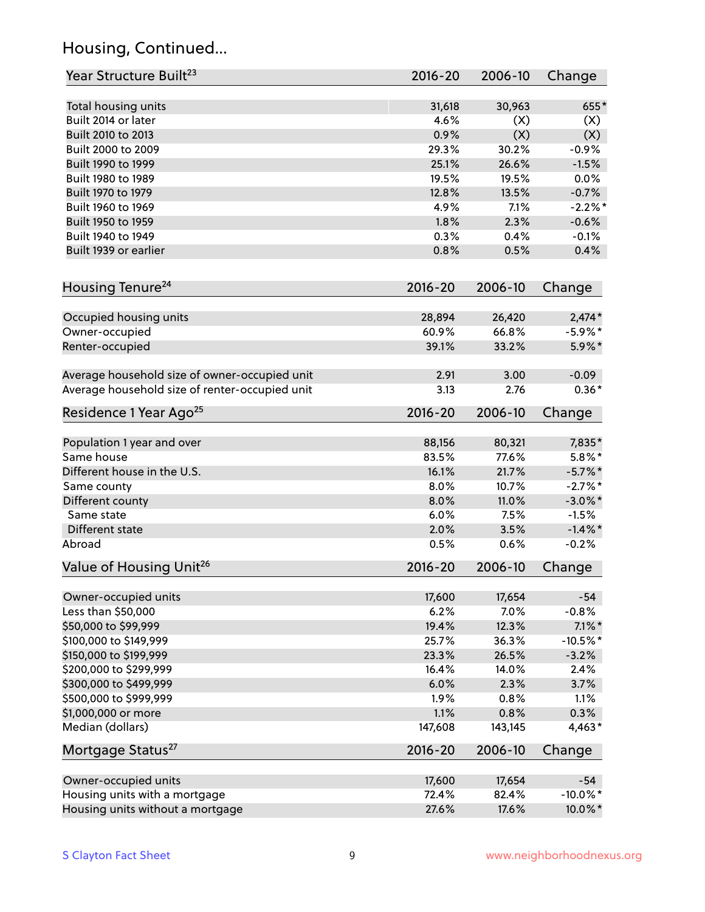## Housing, Continued...

| Year Structure Built <sup>23</sup>             | 2016-20     | 2006-10 | Change                |
|------------------------------------------------|-------------|---------|-----------------------|
| Total housing units                            | 31,618      | 30,963  | 655*                  |
| Built 2014 or later                            | 4.6%        | (X)     | (X)                   |
| Built 2010 to 2013                             | 0.9%        | (X)     | (X)                   |
| Built 2000 to 2009                             | 29.3%       | 30.2%   | $-0.9%$               |
| Built 1990 to 1999                             | 25.1%       | 26.6%   | $-1.5%$               |
| Built 1980 to 1989                             | 19.5%       | 19.5%   | 0.0%                  |
| Built 1970 to 1979                             | 12.8%       | 13.5%   | $-0.7%$               |
| Built 1960 to 1969                             | 4.9%        | 7.1%    | $-2.2%$               |
| Built 1950 to 1959                             | 1.8%        | 2.3%    | $-0.6%$               |
| Built 1940 to 1949                             | 0.3%        | 0.4%    | $-0.1%$               |
| Built 1939 or earlier                          | 0.8%        | 0.5%    | 0.4%                  |
|                                                |             |         |                       |
| Housing Tenure <sup>24</sup>                   | $2016 - 20$ | 2006-10 | Change                |
| Occupied housing units                         | 28,894      | 26,420  | $2,474*$              |
| Owner-occupied                                 | 60.9%       | 66.8%   | $-5.9\%$ *            |
| Renter-occupied                                | 39.1%       | 33.2%   | 5.9%*                 |
|                                                |             |         |                       |
| Average household size of owner-occupied unit  | 2.91        | 3.00    | $-0.09$               |
| Average household size of renter-occupied unit | 3.13        | 2.76    | $0.36*$               |
| Residence 1 Year Ago <sup>25</sup>             | $2016 - 20$ | 2006-10 | Change                |
| Population 1 year and over                     | 88,156      | 80,321  | 7,835*                |
| Same house                                     | 83.5%       | 77.6%   | $5.8\%$ *             |
| Different house in the U.S.                    | 16.1%       | 21.7%   | $-5.7\%$ *            |
|                                                | 8.0%        | 10.7%   | $-2.7%$ *             |
| Same county                                    | 8.0%        | 11.0%   | $-3.0\%$ *            |
| Different county<br>Same state                 | 6.0%        | 7.5%    | $-1.5%$               |
| Different state                                | 2.0%        | 3.5%    |                       |
| Abroad                                         | 0.5%        | 0.6%    | $-1.4\%$ *<br>$-0.2%$ |
|                                                |             |         |                       |
| Value of Housing Unit <sup>26</sup>            | $2016 - 20$ | 2006-10 | Change                |
| Owner-occupied units                           | 17,600      | 17,654  | $-54$                 |
| Less than \$50,000                             | 6.2%        | 7.0%    | $-0.8%$               |
| \$50,000 to \$99,999                           | 19.4%       | 12.3%   | $7.1\%$ *             |
| \$100,000 to \$149,999                         | 25.7%       | 36.3%   | $-10.5%$ *            |
| \$150,000 to \$199,999                         | 23.3%       | 26.5%   | $-3.2%$               |
| \$200,000 to \$299,999                         | 16.4%       | 14.0%   | 2.4%                  |
| \$300,000 to \$499,999                         | 6.0%        | 2.3%    | 3.7%                  |
| \$500,000 to \$999,999                         | 1.9%        | 0.8%    | 1.1%                  |
| \$1,000,000 or more                            | 1.1%        | 0.8%    | 0.3%                  |
| Median (dollars)                               | 147,608     | 143,145 | 4,463*                |
| Mortgage Status <sup>27</sup>                  | $2016 - 20$ | 2006-10 | Change                |
| Owner-occupied units                           | 17,600      | 17,654  | $-54$                 |
| Housing units with a mortgage                  | 72.4%       | 82.4%   | $-10.0\%$ *           |
| Housing units without a mortgage               | 27.6%       | 17.6%   | 10.0%*                |
|                                                |             |         |                       |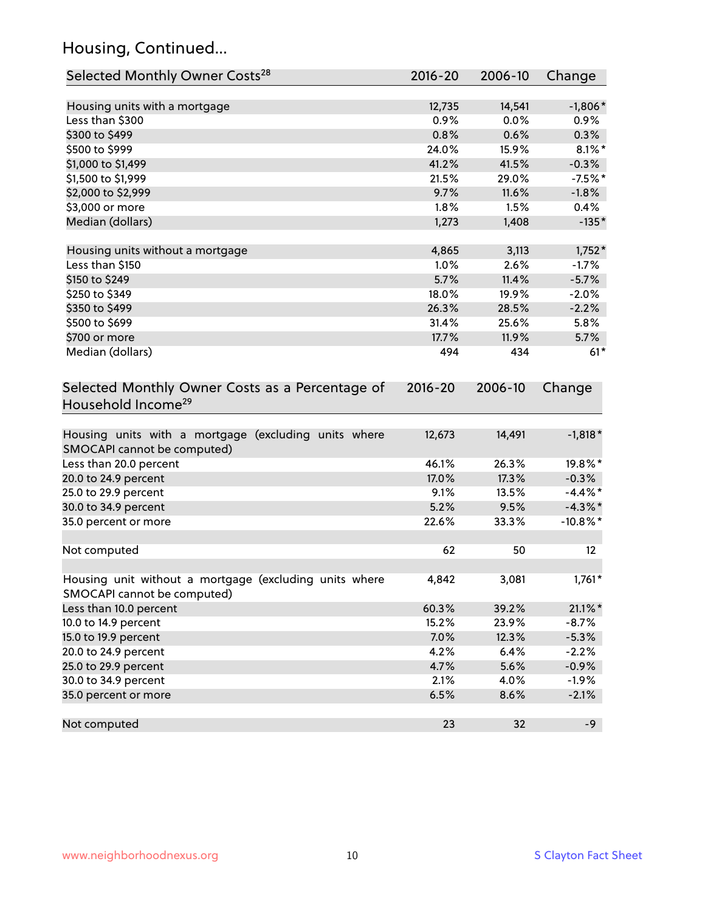## Housing, Continued...

| Selected Monthly Owner Costs <sup>28</sup>                                            | 2016-20 | 2006-10 | Change      |
|---------------------------------------------------------------------------------------|---------|---------|-------------|
| Housing units with a mortgage                                                         | 12,735  | 14,541  | $-1,806*$   |
| Less than \$300                                                                       | 0.9%    | 0.0%    | 0.9%        |
| \$300 to \$499                                                                        | 0.8%    | 0.6%    | 0.3%        |
| \$500 to \$999                                                                        | 24.0%   | 15.9%   | $8.1\%$ *   |
| \$1,000 to \$1,499                                                                    | 41.2%   | 41.5%   | $-0.3%$     |
| \$1,500 to \$1,999                                                                    | 21.5%   | 29.0%   | $-7.5%$ *   |
| \$2,000 to \$2,999                                                                    | 9.7%    | 11.6%   | $-1.8%$     |
| \$3,000 or more                                                                       | $1.8\%$ | 1.5%    | 0.4%        |
| Median (dollars)                                                                      | 1,273   | 1,408   | $-135*$     |
| Housing units without a mortgage                                                      | 4,865   | 3,113   | $1,752*$    |
| Less than \$150                                                                       | 1.0%    | 2.6%    | $-1.7%$     |
| \$150 to \$249                                                                        | 5.7%    | 11.4%   | $-5.7%$     |
| \$250 to \$349                                                                        | 18.0%   | 19.9%   | $-2.0%$     |
| \$350 to \$499                                                                        | 26.3%   | 28.5%   | $-2.2%$     |
| \$500 to \$699                                                                        | 31.4%   | 25.6%   | 5.8%        |
| \$700 or more                                                                         | 17.7%   | 11.9%   | 5.7%        |
| Median (dollars)                                                                      | 494     | 434     | $61*$       |
| Selected Monthly Owner Costs as a Percentage of<br>Household Income <sup>29</sup>     |         |         | Change      |
| Housing units with a mortgage (excluding units where<br>SMOCAPI cannot be computed)   | 12,673  | 14,491  | $-1,818*$   |
| Less than 20.0 percent                                                                | 46.1%   | 26.3%   | 19.8%*      |
| 20.0 to 24.9 percent                                                                  | 17.0%   | 17.3%   | $-0.3%$     |
| 25.0 to 29.9 percent                                                                  | 9.1%    | 13.5%   | $-4.4\%$ *  |
| 30.0 to 34.9 percent                                                                  | 5.2%    | 9.5%    | $-4.3\%$ *  |
| 35.0 percent or more                                                                  | 22.6%   | 33.3%   | $-10.8\%$ * |
| Not computed                                                                          | 62      | 50      | 12          |
| Housing unit without a mortgage (excluding units where<br>SMOCAPI cannot be computed) | 4,842   | 3,081   | $1,761*$    |
| Less than 10.0 percent                                                                | 60.3%   | 39.2%   | $21.1\%$ *  |
| 10.0 to 14.9 percent                                                                  | 15.2%   | 23.9%   | $-8.7%$     |
| 15.0 to 19.9 percent                                                                  | 7.0%    | 12.3%   | $-5.3%$     |
| 20.0 to 24.9 percent                                                                  | 4.2%    | 6.4%    | $-2.2%$     |
| 25.0 to 29.9 percent                                                                  | 4.7%    | 5.6%    | $-0.9%$     |
| 30.0 to 34.9 percent                                                                  | 2.1%    | 4.0%    | $-1.9%$     |
| 35.0 percent or more                                                                  | 6.5%    | 8.6%    | $-2.1%$     |
| Not computed                                                                          | 23      | 32      | $-9$        |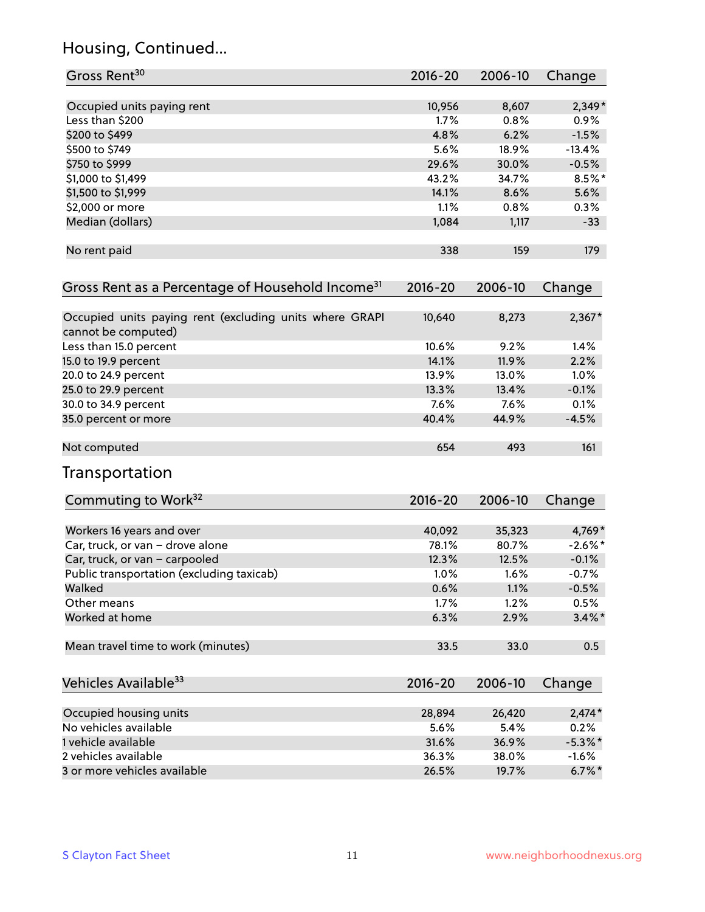## Housing, Continued...

| Gross Rent <sup>30</sup>                                                       | 2016-20        | 2006-10        | Change            |
|--------------------------------------------------------------------------------|----------------|----------------|-------------------|
|                                                                                |                |                |                   |
| Occupied units paying rent                                                     | 10,956         | 8,607          | $2,349*$          |
| Less than \$200                                                                | 1.7%           | 0.8%           | 0.9%              |
| \$200 to \$499                                                                 | 4.8%           | 6.2%           | $-1.5%$           |
| \$500 to \$749                                                                 | 5.6%           | 18.9%          | $-13.4%$          |
| \$750 to \$999                                                                 | 29.6%          | 30.0%          | $-0.5%$           |
| \$1,000 to \$1,499                                                             | 43.2%          | 34.7%          | $8.5\%$ *         |
| \$1,500 to \$1,999                                                             | 14.1%          | 8.6%           | 5.6%              |
| \$2,000 or more                                                                | 1.1%           | 0.8%           | 0.3%              |
| Median (dollars)                                                               | 1,084          | 1,117          | $-33$             |
| No rent paid                                                                   | 338            | 159            | 179               |
| Gross Rent as a Percentage of Household Income <sup>31</sup>                   | $2016 - 20$    | 2006-10        | Change            |
| Occupied units paying rent (excluding units where GRAPI<br>cannot be computed) | 10,640         | 8,273          | $2,367*$          |
| Less than 15.0 percent                                                         | 10.6%          | 9.2%           | 1.4%              |
| 15.0 to 19.9 percent                                                           | 14.1%          | 11.9%          | 2.2%              |
| 20.0 to 24.9 percent                                                           | 13.9%          | 13.0%          | 1.0%              |
| 25.0 to 29.9 percent                                                           | 13.3%          | 13.4%          | $-0.1%$           |
| 30.0 to 34.9 percent                                                           | 7.6%           | 7.6%           | 0.1%              |
| 35.0 percent or more                                                           | 40.4%          | 44.9%          | $-4.5%$           |
| Not computed                                                                   | 654            | 493            | 161               |
| Transportation                                                                 |                |                |                   |
| Commuting to Work <sup>32</sup>                                                | 2016-20        | 2006-10        | Change            |
|                                                                                | 40,092         | 35,323         | 4,769*            |
| Workers 16 years and over                                                      |                |                | $-2.6\%$ *        |
| Car, truck, or van - drove alone                                               | 78.1%<br>12.3% | 80.7%<br>12.5% |                   |
| Car, truck, or van - carpooled                                                 |                |                | $-0.1%$           |
| Public transportation (excluding taxicab)<br>Walked                            | 1.0%<br>0.6%   | 1.6%<br>1.1%   | $-0.7%$           |
| Other means                                                                    | 1.7%           |                | $-0.5%$           |
| Worked at home                                                                 | 6.3%           | 1.2%<br>2.9%   | 0.5%<br>$3.4\%$ * |
| Mean travel time to work (minutes)                                             | 33.5           | 33.0           | 0.5               |
| Vehicles Available <sup>33</sup>                                               | 2016-20        | 2006-10        | Change            |
| Occupied housing units                                                         | 28,894         | 26,420         | $2,474*$          |
| No vehicles available                                                          | 5.6%           | 5.4%           | 0.2%              |
| 1 vehicle available                                                            | 31.6%          | 36.9%          | $-5.3\%$ *        |
| 2 vehicles available                                                           | 36.3%          | 38.0%          | $-1.6%$           |
| 3 or more vehicles available                                                   | 26.5%          | 19.7%          | $6.7\%$ *         |
|                                                                                |                |                |                   |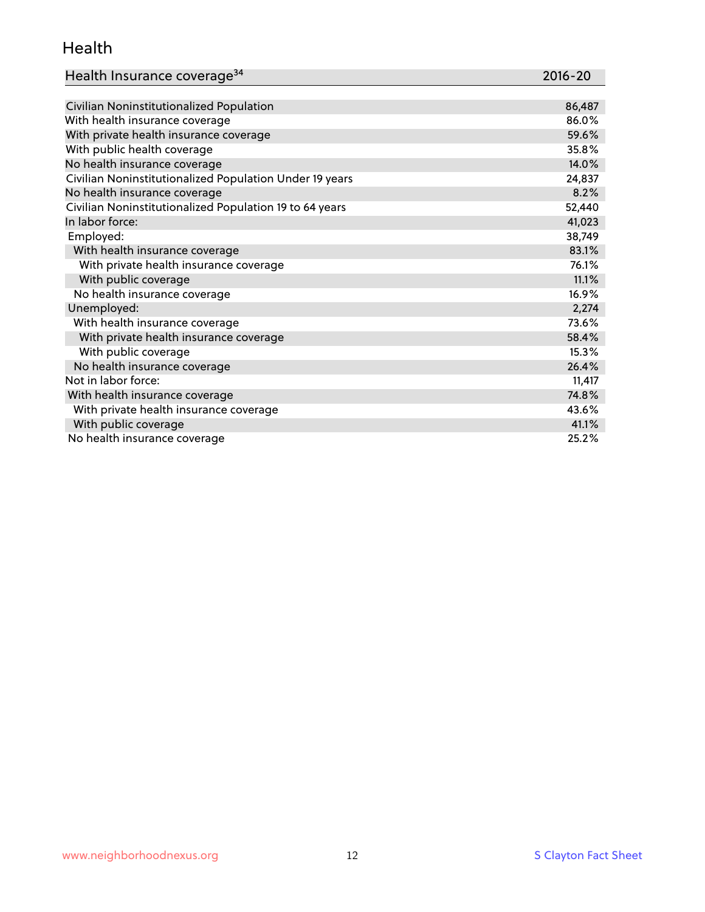#### Health

| Health Insurance coverage <sup>34</sup> | 2016-20 |
|-----------------------------------------|---------|
|-----------------------------------------|---------|

| Civilian Noninstitutionalized Population                | 86,487 |
|---------------------------------------------------------|--------|
| With health insurance coverage                          | 86.0%  |
| With private health insurance coverage                  | 59.6%  |
| With public health coverage                             | 35.8%  |
| No health insurance coverage                            | 14.0%  |
| Civilian Noninstitutionalized Population Under 19 years | 24,837 |
| No health insurance coverage                            | 8.2%   |
| Civilian Noninstitutionalized Population 19 to 64 years | 52,440 |
| In labor force:                                         | 41,023 |
| Employed:                                               | 38,749 |
| With health insurance coverage                          | 83.1%  |
| With private health insurance coverage                  | 76.1%  |
| With public coverage                                    | 11.1%  |
| No health insurance coverage                            | 16.9%  |
| Unemployed:                                             | 2,274  |
| With health insurance coverage                          | 73.6%  |
| With private health insurance coverage                  | 58.4%  |
| With public coverage                                    | 15.3%  |
| No health insurance coverage                            | 26.4%  |
| Not in labor force:                                     | 11,417 |
| With health insurance coverage                          | 74.8%  |
| With private health insurance coverage                  | 43.6%  |
| With public coverage                                    | 41.1%  |
| No health insurance coverage                            | 25.2%  |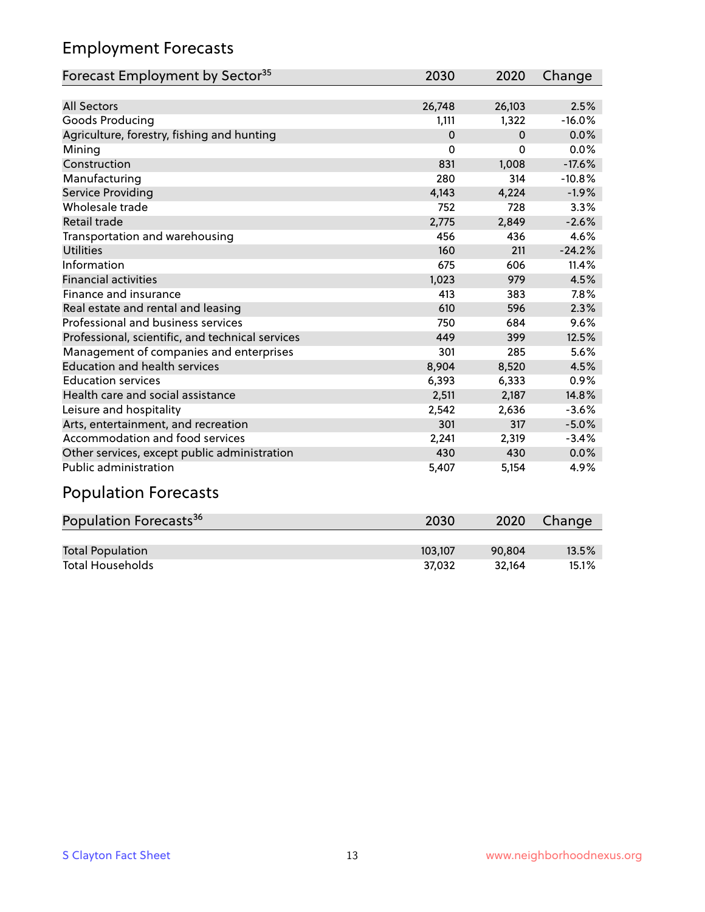## Employment Forecasts

| Forecast Employment by Sector <sup>35</sup>      | 2030     | 2020     | Change   |
|--------------------------------------------------|----------|----------|----------|
|                                                  |          |          |          |
| <b>All Sectors</b>                               | 26,748   | 26,103   | 2.5%     |
| Goods Producing                                  | 1,111    | 1,322    | $-16.0%$ |
| Agriculture, forestry, fishing and hunting       | $\Omega$ | $\Omega$ | 0.0%     |
| Mining                                           | $\Omega$ | $\Omega$ | 0.0%     |
| Construction                                     | 831      | 1,008    | $-17.6%$ |
| Manufacturing                                    | 280      | 314      | $-10.8%$ |
| Service Providing                                | 4,143    | 4,224    | $-1.9%$  |
| Wholesale trade                                  | 752      | 728      | 3.3%     |
| Retail trade                                     | 2,775    | 2,849    | $-2.6%$  |
| Transportation and warehousing                   | 456      | 436      | 4.6%     |
| <b>Utilities</b>                                 | 160      | 211      | $-24.2%$ |
| Information                                      | 675      | 606      | 11.4%    |
| <b>Financial activities</b>                      | 1,023    | 979      | 4.5%     |
| Finance and insurance                            | 413      | 383      | 7.8%     |
| Real estate and rental and leasing               | 610      | 596      | 2.3%     |
| Professional and business services               | 750      | 684      | 9.6%     |
| Professional, scientific, and technical services | 449      | 399      | 12.5%    |
| Management of companies and enterprises          | 301      | 285      | 5.6%     |
| <b>Education and health services</b>             | 8,904    | 8,520    | 4.5%     |
| <b>Education services</b>                        | 6,393    | 6,333    | 0.9%     |
| Health care and social assistance                | 2,511    | 2,187    | 14.8%    |
| Leisure and hospitality                          | 2,542    | 2,636    | $-3.6%$  |
| Arts, entertainment, and recreation              | 301      | 317      | $-5.0%$  |
| Accommodation and food services                  | 2,241    | 2,319    | $-3.4%$  |
| Other services, except public administration     | 430      | 430      | 0.0%     |
| <b>Public administration</b>                     | 5,407    | 5,154    | 4.9%     |
| Described en Ferreno                             |          |          |          |

#### Population Forecasts

| Population Forecasts <sup>36</sup> | 2030    | 2020   | Change |
|------------------------------------|---------|--------|--------|
|                                    |         |        |        |
| <b>Total Population</b>            | 103.107 | 90.804 | 13.5%  |
| <b>Total Households</b>            | 37.032  | 32.164 | 15.1%  |